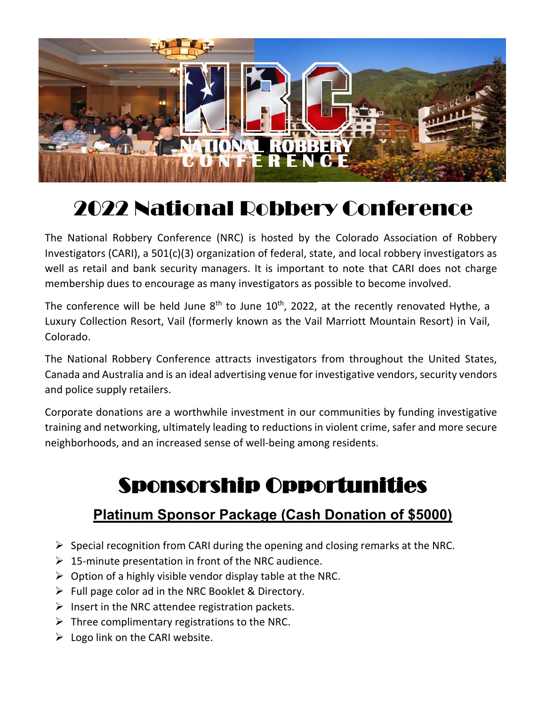

# 2022 National Robbery Conference

The National Robbery Conference (NRC) is hosted by the Colorado Association of Robbery Investigators (CARI), a 501(c)(3) organization of federal, state, and local robbery investigators as well as retail and bank security managers. It is important to note that CARI does not charge membership dues to encourage as many investigators as possible to become involved.

The conference will be held June  $8<sup>th</sup>$  to June 10<sup>th</sup>, 2022, at the recently renovated Hythe, a Luxury Collection Resort, Vail (formerly known as the Vail Marriott Mountain Resort) in Vail, Colorado.

The National Robbery Conference attracts investigators from throughout the United States, Canada and Australia and is an ideal advertising venue for investigative vendors, security vendors and police supply retailers.

Corporate donations are a worthwhile investment in our communities by funding investigative training and networking, ultimately leading to reductions in violent crime, safer and more secure neighborhoods, and an increased sense of well-being among residents.

## Sponsorship Opportunities

### **Platinum Sponsor Package (Cash Donation of \$5000)**

- $\triangleright$  Special recognition from CARI during the opening and closing remarks at the NRC.
- $\triangleright$  15-minute presentation in front of the NRC audience.
- $\triangleright$  Option of a highly visible vendor display table at the NRC.
- $\triangleright$  Full page color ad in the NRC Booklet & Directory.
- $\triangleright$  Insert in the NRC attendee registration packets.
- $\triangleright$  Three complimentary registrations to the NRC.
- $\triangleright$  Logo link on the CARI website.